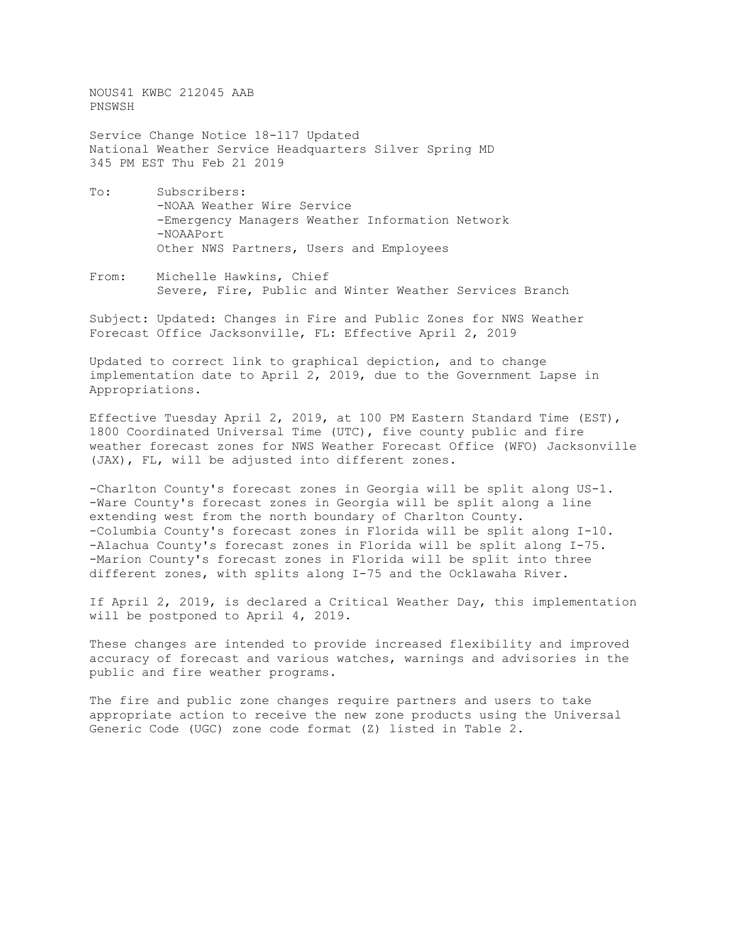NOUS41 KWBC 212045 AAB PNSWSH

Service Change Notice 18-117 Updated National Weather Service Headquarters Silver Spring MD 345 PM EST Thu Feb 21 2019

- To: Subscribers: -NOAA Weather Wire Service -Emergency Managers Weather Information Network -NOAAPort Other NWS Partners, Users and Employees
- From: Michelle Hawkins, Chief Severe, Fire, Public and Winter Weather Services Branch

Subject: Updated: Changes in Fire and Public Zones for NWS Weather Forecast Office Jacksonville, FL: Effective April 2, 2019

Updated to correct link to graphical depiction, and to change implementation date to April 2, 2019, due to the Government Lapse in Appropriations.

Effective Tuesday April 2, 2019, at 100 PM Eastern Standard Time (EST), 1800 Coordinated Universal Time (UTC), five county public and fire weather forecast zones for NWS Weather Forecast Office (WFO) Jacksonville (JAX), FL, will be adjusted into different zones.

-Charlton County's forecast zones in Georgia will be split along US-1. -Ware County's forecast zones in Georgia will be split along a line extending west from the north boundary of Charlton County. -Columbia County's forecast zones in Florida will be split along I-10. -Alachua County's forecast zones in Florida will be split along I-75. -Marion County's forecast zones in Florida will be split into three different zones, with splits along I-75 and the Ocklawaha River.

If April 2, 2019, is declared a Critical Weather Day, this implementation will be postponed to April 4, 2019.

These changes are intended to provide increased flexibility and improved accuracy of forecast and various watches, warnings and advisories in the public and fire weather programs.

The fire and public zone changes require partners and users to take appropriate action to receive the new zone products using the Universal Generic Code (UGC) zone code format (Z) listed in Table 2.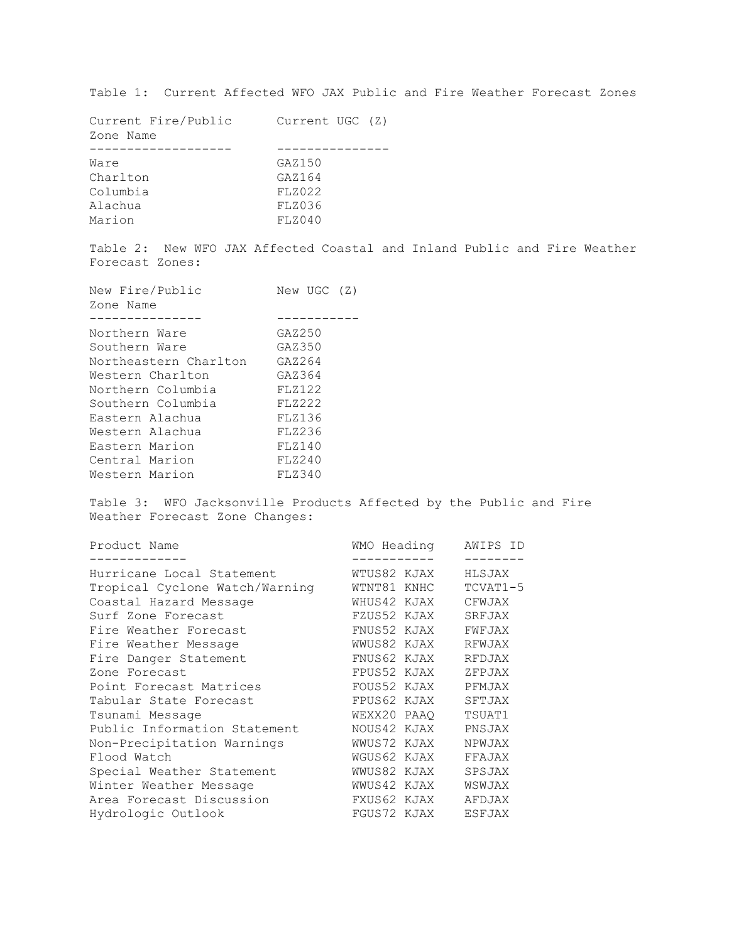Table 1: Current Affected WFO JAX Public and Fire Weather Forecast Zones

| Current Fire/Public<br>Zone Name | Current UGC (Z) |
|----------------------------------|-----------------|
|                                  |                 |
| Ware                             | GAZ150          |
| Charlton                         | GAZ164          |
| Columbia                         | FLZ022          |
| Alachua                          | FLZ036          |
| Marion                           | FLZ040          |
|                                  |                 |

Table 2: New WFO JAX Affected Coastal and Inland Public and Fire Weather Forecast Zones:

| New Fire/Public<br>Zone Name | New UGC (Z)   |
|------------------------------|---------------|
|                              |               |
| Northern Ware                | GAZ250        |
| Southern Ware                | GAZ350        |
| Northeastern Charlton        | GAZ264        |
| Western Charlton             | GAZ364        |
| Northern Columbia            | FLZ122        |
| Southern Columbia            | <b>FLZ222</b> |
| Eastern Alachua              | FLZ136        |
| Western Alachua              | FLZ236        |
| Eastern Marion               | FLZ140        |
| Central Marion               | FLZ240        |
| Western Marion               | FLZ340        |
|                              |               |

Table 3: WFO Jacksonville Products Affected by the Public and Fire Weather Forecast Zone Changes:

| Product Name                   | WMO Heading | AWIPS ID      |
|--------------------------------|-------------|---------------|
| Hurricane Local Statement      | WTUS82 KJAX | HLSJAX        |
| Tropical Cyclone Watch/Warning | WTNT81 KNHC | $TCVAT1-5$    |
| Coastal Hazard Message         | WHUS42 KJAX | CFWJAX        |
| Surf Zone Forecast             | FZUS52 KJAX | SRFJAX        |
| Fire Weather Forecast          | FNUS52 KJAX | FWFJAX        |
| Fire Weather Message           | WWUS82 KJAX | RFWJAX        |
| Fire Danger Statement          | FNUS62 KJAX | RFDJAX        |
| Zone Forecast                  | FPUS52 KJAX | ZFPJAX        |
| Point Forecast Matrices        | FOUS52 KJAX | PFMJAX        |
| Tabular State Forecast         | FPUS62 KJAX | SFTJAX        |
| Tsunami Message                | WEXX20 PAAQ | TSUAT1        |
| Public Information Statement   | NOUS42 KJAX | PNSJAX        |
| Non-Precipitation Warnings     | WWUS72 KJAX | NPWJAX        |
| Flood Watch                    | WGUS62 KJAX | FFAJAX        |
| Special Weather Statement      | WWUS82 KJAX | SPSJAX        |
| Winter Weather Message         | WWUS42 KJAX | WSWJAX        |
| Area Forecast Discussion       | FXUS62 KJAX | AFDJAX        |
| Hydrologic Outlook             | FGUS72 KJAX | <b>ESFJAX</b> |
|                                |             |               |